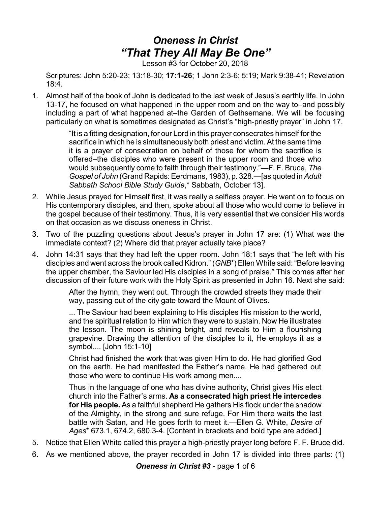## *Oneness in Christ "That They All May Be One"*

Lesson #3 for October 20, 2018

Scriptures: John 5:20-23; 13:18-30; **17:1-26**; 1 John 2:3-6; 5:19; Mark 9:38-41; Revelation 18:4.

1. Almost half of the book of John is dedicated to the last week of Jesus's earthly life. In John 13-17, he focused on what happened in the upper room and on the way to–and possibly including a part of what happened at–the Garden of Gethsemane. We will be focusing particularly on what is sometimes designated as Christ's "high-priestly prayer" in John 17.

> "It is a fitting designation, for our Lord in this prayer consecrates himself for the sacrifice in which he is simultaneously both priest and victim. At the same time it is a prayer of consecration on behalf of those for whom the sacrifice is offered–the disciples who were present in the upper room and those who would subsequently come to faith through their testimony."—F. F. Bruce, *The Gospel of John* (Grand Rapids:Eerdmans, 1983), p. 328.—[as quoted in*Adult Sabbath School Bible Study Guide*,\* Sabbath, October 13].

- 2. While Jesus prayed for Himself first, it was really a selfless prayer. He went on to focus on His contemporary disciples, and then, spoke about all those who would come to believe in the gospel because of their testimony. Thus, it is very essential that we consider His words on that occasion as we discuss oneness in Christ.
- 3. Two of the puzzling questions about Jesus's prayer in John 17 are: (1) What was the immediate context? (2) Where did that prayer actually take place?
- 4. John 14:31 says that they had left the upper room. John 18:1 says that "he left with his disciples and went across the brook called Kidron." (*GNB*\*) Ellen White said: "Before leaving the upper chamber, the Saviour led His disciples in a song of praise." This comes after her discussion of their future work with the Holy Spirit as presented in John 16. Next she said:

After the hymn, they went out. Through the crowded streets they made their way, passing out of the city gate toward the Mount of Olives.

... The Saviour had been explaining to His disciples His mission to the world, and the spiritual relation to Him which they were to sustain. Now He illustrates the lesson. The moon is shining bright, and reveals to Him a flourishing grapevine. Drawing the attention of the disciples to it, He employs it as a symbol.... [John 15:1-10]

Christ had finished the work that was given Him to do. He had glorified God on the earth. He had manifested the Father's name. He had gathered out those who were to continue His work among men....

Thus in the language of one who has divine authority, Christ gives His elect church into the Father's arms. **As a consecrated high priest He intercedes for His people.** As a faithful shepherd He gathers His flock under the shadow of the Almighty, in the strong and sure refuge. For Him there waits the last battle with Satan, and He goes forth to meet it.—Ellen G. White, *Desire of Ages*\* 673.1, 674.2, 680.3-4. [Content in brackets and bold type are added.]

- 5. Notice that Ellen White called this prayer a high-priestly prayer long before F. F. Bruce did.
- 6. As we mentioned above, the prayer recorded in John 17 is divided into three parts: (1)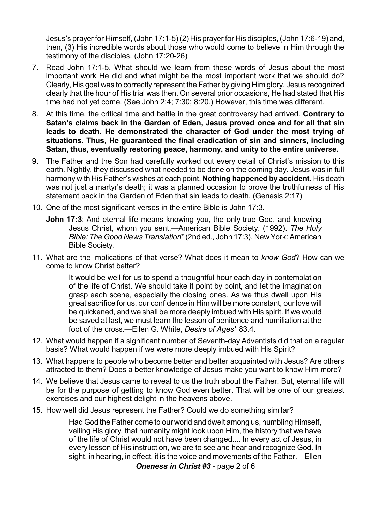Jesus's prayer for Himself, (John 17:1-5) (2) His prayer for His disciples, (John 17:6-19) and, then, (3) His incredible words about those who would come to believe in Him through the testimony of the disciples. (John 17:20-26)

- 7. Read John 17:1-5. What should we learn from these words of Jesus about the most important work He did and what might be the most important work that we should do? Clearly, His goal was to correctly represent the Father by giving Him glory. Jesus recognized clearly that the hour of His trial was then. On several prior occasions, He had stated that His time had not yet come. (See John 2:4; 7:30; 8:20.) However, this time was different.
- 8. At this time, the critical time and battle in the great controversy had arrived. **Contrary to Satan's claims back in the Garden of Eden, Jesus proved once and for all that sin leads to death. He demonstrated the character of God under the most trying of situations. Thus, He guaranteed the final eradication of sin and sinners, including Satan, thus, eventually restoring peace, harmony, and unity to the entire universe.**
- 9. The Father and the Son had carefully worked out every detail of Christ's mission to this earth. Nightly, they discussed what needed to be done on the coming day. Jesus was in full harmony with His Father's wishes at each point. **Nothing happened by accident.** His death was not just a martyr's death; it was a planned occasion to prove the truthfulness of His statement back in the Garden of Eden that sin leads to death. (Genesis 2:17)
- 10. One of the most significant verses in the entire Bible is John 17:3.
	- **John 17:3**: And eternal life means knowing you, the only true God, and knowing Jesus Christ, whom you sent.—American Bible Society. (1992). *The Holy Bible: The Good News Translation*\*(2nd ed., John 17:3). New York: American Bible Society*.*
- 11. What are the implications of that verse? What does it mean to *know God*? How can we come to know Christ better?

It would be well for us to spend a thoughtful hour each day in contemplation of the life of Christ. We should take it point by point, and let the imagination grasp each scene, especially the closing ones. As we thus dwell upon His great sacrifice for us, our confidence in Him will be more constant, our love will be quickened, and we shall be more deeply imbued with His spirit. If we would be saved at last, we must learn the lesson of penitence and humiliation at the foot of the cross.—Ellen G. White, *Desire of Ages*\* 83.4.

- 12. What would happen if a significant number of Seventh-day Adventists did that on a regular basis? What would happen if we were more deeply imbued with His Spirit?
- 13. What happens to people who become better and better acquainted with Jesus? Are others attracted to them? Does a better knowledge of Jesus make you want to know Him more?
- 14. We believe that Jesus came to reveal to us the truth about the Father. But, eternal life will be for the purpose of getting to know God even better. That will be one of our greatest exercises and our highest delight in the heavens above.
- 15. How well did Jesus represent the Father? Could we do something similar?

Had God the Father come to our world and dwelt among us, humbling Himself, veiling His glory, that humanity might look upon Him, the history that we have of the life of Christ would not have been changed.... In every act of Jesus, in every lesson of His instruction, we are to see and hear and recognize God. In sight, in hearing, in effect, it is the voice and movements of the Father.—Ellen

*Oneness in Christ #3* - page 2 of 6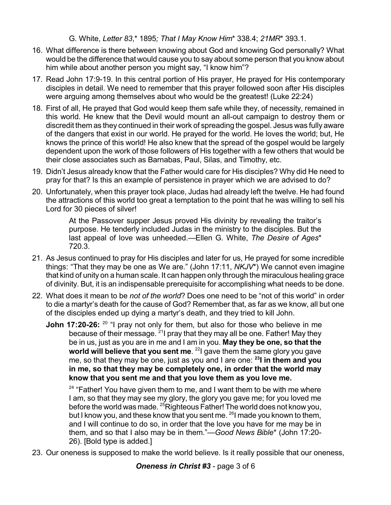G. White, *Letter 83*,\* 1895*; That I May Know Him*\* 338.4; *21MR*\* 393.1.

- 16. What difference is there between knowing about God and knowing God personally? What would be the difference that would cause you to say about some person that you know about him while about another person you might say, "I know him"?
- 17. Read John 17:9-19. In this central portion of His prayer, He prayed for His contemporary disciples in detail. We need to remember that this prayer followed soon after His disciples were arguing among themselves about who would be the greatest! (Luke 22:24)
- 18. First of all, He prayed that God would keep them safe while they, of necessity, remained in this world. He knew that the Devil would mount an all-out campaign to destroy them or discredit them as they continued in their work of spreading the gospel. Jesus was fully aware of the dangers that exist in our world. He prayed for the world. He loves the world; but, He knows the prince of this world! He also knew that the spread of the gospel would be largely dependent upon the work of those followers of His together with a few others that would be their close associates such as Barnabas, Paul, Silas, and Timothy, etc.
- 19. Didn't Jesus already know that the Father would care for His disciples? Why did He need to pray for that? Is this an example of persistence in prayer which we are advised to do?
- 20. Unfortunately, when this prayer took place, Judas had already left the twelve. He had found the attractions of this world too great a temptation to the point that he was willing to sell his Lord for 30 pieces of silver!

At the Passover supper Jesus proved His divinity by revealing the traitor's purpose. He tenderly included Judas in the ministry to the disciples. But the last appeal of love was unheeded.—Ellen G. White, *The Desire of Ages*\* 720.3.

- 21. As Jesus continued to pray for His disciples and later for us, He prayed for some incredible things: "That they may be one as We are." (John 17:11, *NKJV*\*) We cannot even imagine that kind of unity on a human scale. It can happen only through the miraculous healing grace of divinity. But, it is an indispensable prerequisite for accomplishing what needs to be done.
- 22. What does it mean to be *not of the world*? Does one need to be "not of this world" in order to die a martyr's death for the cause of God? Remember that, as far as we know, all but one of the disciples ended up dying a martyr's death, and they tried to kill John.
	- **John 17:20-26:** <sup>20</sup> "I pray not only for them, but also for those who believe in me because of their message. <sup>21</sup>I pray that they may all be one. Father! May they be in us, just as you are in me and I am in you. **May they be one, so that the world will believe that you sent me**. 22 I gave them the same glory you gave me, so that they may be one, just as you and I are one: **23 I in them and you in me, so that they may be completely one, in order that the world may know that you sent me and that you love them as you love me.**

<sup>24</sup> "Father! You have given them to me, and I want them to be with me where I am, so that they may see my glory, the glory you gave me; for you loved me before the world was made. <sup>25</sup>Righteous Father! The world does not know you, but I know you, and these know that you sent me. <sup>26</sup>I made you known to them, and I will continue to do so, in order that the love you have for me may be in them, and so that I also may be in them."—*Good News Bible*\* (John 17:20- 26). [Bold type is added.]

23. Our oneness is supposed to make the world believe. Is it really possible that our oneness,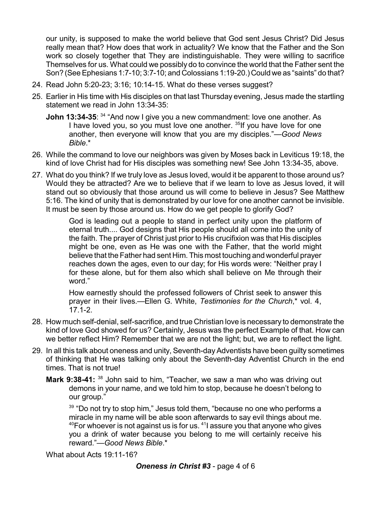our unity, is supposed to make the world believe that God sent Jesus Christ? Did Jesus really mean that? How does that work in actuality? We know that the Father and the Son work so closely together that They are indistinguishable. They were willing to sacrifice Themselves for us. What could we possibly do to convince the world that the Father sent the Son? (See Ephesians 1:7-10; 3:7-10; and Colossians 1:19-20.) Could we as "saints" do that?

- 24. Read John 5:20-23; 3:16; 10:14-15. What do these verses suggest?
- 25. Earlier in His time with His disciples on that last Thursday evening, Jesus made the startling statement we read in John 13:34-35:
	- **John 13:34-35**: <sup>34</sup> "And now I give you a new commandment: love one another. As I have loved you, so you must love one another. <sup>35</sup>If you have love for one another, then everyone will know that you are my disciples."—*Good News Bible*.\*
- 26. While the command to love our neighbors was given by Moses back in Leviticus 19:18, the kind of love Christ had for His disciples was something new! See John 13:34-35, above.
- 27. What do you think? If we truly love as Jesus loved, would it be apparent to those around us? Would they be attracted? Are we to believe that if we learn to love as Jesus loved, it will stand out so obviously that those around us will come to believe in Jesus? See Matthew 5:16. The kind of unity that is demonstrated by our love for one another cannot be invisible. It must be seen by those around us. How do we get people to glorify God?

God is leading out a people to stand in perfect unity upon the platform of eternal truth.... God designs that His people should all come into the unity of the faith. The prayer of Christ just prior to His crucifixion was that His disciples might be one, even as He was one with the Father, that the world might believe that the Father had sent Him. This most touching and wonderful prayer reaches down the ages, even to our day; for His words were: "Neither pray I for these alone, but for them also which shall believe on Me through their word."

How earnestly should the professed followers of Christ seek to answer this prayer in their lives.—Ellen G. White, *Testimonies for the Church*,\* vol. 4, 17.1-2.

- 28. How much self-denial, self-sacrifice, and true Christian love is necessary to demonstrate the kind of love God showed for us? Certainly, Jesus was the perfect Example of that. How can we better reflect Him? Remember that we are not the light; but, we are to reflect the light.
- 29. In all this talk about oneness and unity, Seventh-day Adventists have been guilty sometimes of thinking that He was talking only about the Seventh-day Adventist Church in the end times. That is not true!
	- **Mark 9:38-41:** <sup>38</sup> John said to him, "Teacher, we saw a man who was driving out demons in your name, and we told him to stop, because he doesn't belong to our group."

 $39$  "Do not try to stop him," Jesus told them, "because no one who performs a miracle in my name will be able soon afterwards to say evil things about me.  $\rm{^{40}F}$ or whoever is not against us is for us.  $\rm{^{41}l}$  assure you that anyone who gives you a drink of water because you belong to me will certainly receive his reward."—*Good News Bible*.\*

What about Acts 19:11-16?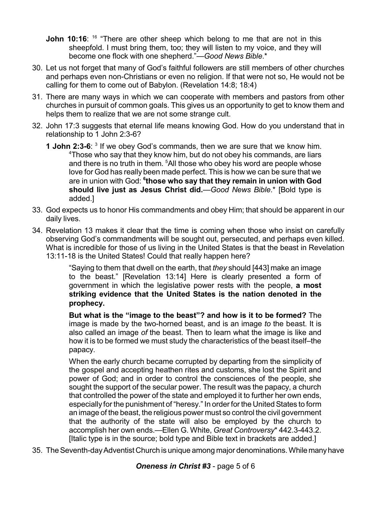- **John 10:16**: <sup>16</sup> "There are other sheep which belong to me that are not in this sheepfold. I must bring them, too; they will listen to my voice, and they will become one flock with one shepherd."—*Good News Bible*.\*
- 30. Let us not forget that many of God's faithful followers are still members of other churches and perhaps even non-Christians or even no religion. If that were not so, He would not be calling for them to come out of Babylon. (Revelation 14:8; 18:4)
- 31. There are many ways in which we can cooperate with members and pastors from other churches in pursuit of common goals. This gives us an opportunity to get to know them and helps them to realize that we are not some strange cult.
- 32. John 17:3 suggests that eternal life means knowing God. How do you understand that in relationship to 1 John 2:3-6?
	- **1 John 2:3-6:** <sup>3</sup> If we obey God's commands, then we are sure that we know him.  $4$ Those who say that they know him, but do not obey his commands, are liars and there is no truth in them. <sup>5</sup>All those who obey his word are people whose love for God has really been made perfect. This is how we can be sure that we are in union with God: **6 those who say that they remain in union with God should live just as Jesus Christ did.**—*Good News Bible*.\* [Bold type is added.]
- 33. God expects us to honor His commandments and obey Him; that should be apparent in our daily lives.
- 34. Revelation 13 makes it clear that the time is coming when those who insist on carefully observing God's commandments will be sought out, persecuted, and perhaps even killed. What is incredible for those of us living in the United States is that the beast in Revelation 13:11-18 is the United States! Could that really happen here?

"Saying to them that dwell on the earth, that *they* should [443] make an image to the beast." [Revelation 13:14] Here is clearly presented a form of government in which the legislative power rests with the people, **a most striking evidence that the United States is the nation denoted in the prophecy.**

**But what is the "image to the beast"? and how is it to be formed?** The image is made by the two-horned beast, and is an image *to* the beast. It is also called an image *of* the beast. Then to learn what the image is like and how it is to be formed we must study the characteristics of the beast itself–the papacy.

When the early church became corrupted by departing from the simplicity of the gospel and accepting heathen rites and customs, she lost the Spirit and power of God; and in order to control the consciences of the people, she sought the support of the secular power. The result was the papacy, a church that controlled the power of the state and employed it to further her own ends, especially for the punishment of "heresy." In order for the United States to form an image of the beast, the religious power must so control the civil government that the authority of the state will also be employed by the church to accomplish her own ends.—Ellen G. White, *Great Controversy*\* 442.3-443.2. [Italic type is in the source; bold type and Bible text in brackets are added.]

35. The Seventh-day Adventist Church is unique among major denominations. While many have